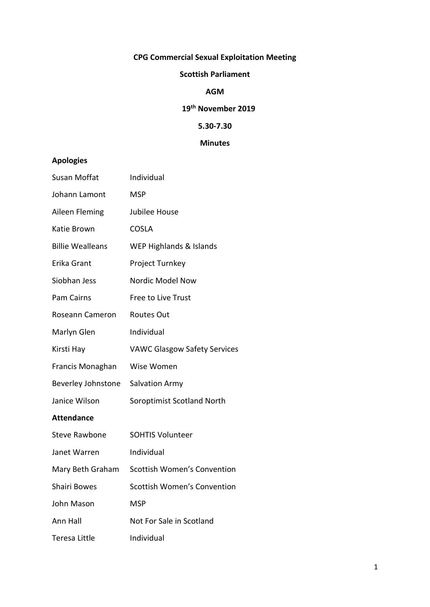# **CPG Commercial Sexual Exploitation Meeting**

#### **Scottish Parliament**

## **AGM**

# **19th November 2019**

# **5.30-7.30**

## **Minutes**

# **Apologies**

| Susan Moffat            | Individual                          |
|-------------------------|-------------------------------------|
| Johann Lamont           | <b>MSP</b>                          |
| Aileen Fleming          | Jubilee House                       |
| Katie Brown             | <b>COSLA</b>                        |
| <b>Billie Wealleans</b> | WEP Highlands & Islands             |
| Erika Grant             | Project Turnkey                     |
| Siobhan Jess            | Nordic Model Now                    |
| Pam Cairns              | Free to Live Trust                  |
| Roseann Cameron         | <b>Routes Out</b>                   |
| Marlyn Glen             | Individual                          |
| Kirsti Hay              | <b>VAWC Glasgow Safety Services</b> |
| Francis Monaghan        | Wise Women                          |
| Beverley Johnstone      | <b>Salvation Army</b>               |
| Janice Wilson           | Soroptimist Scotland North          |
| <b>Attendance</b>       |                                     |
| <b>Steve Rawbone</b>    | <b>SOHTIS Volunteer</b>             |
| Janet Warren            | Individual                          |
| Mary Beth Graham        | Scottish Women's Convention         |
| Shairi Bowes            | Scottish Women's Convention         |
| John Mason              | <b>MSP</b>                          |
| Ann Hall                | Not For Sale in Scotland            |
| Teresa Little           | Individual                          |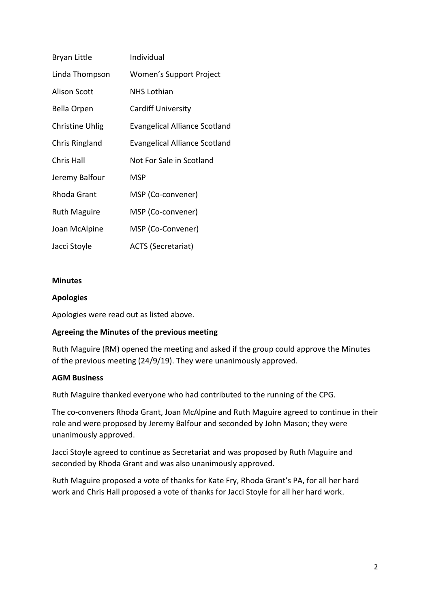| <b>Bryan Little</b>    | Individual                           |
|------------------------|--------------------------------------|
| Linda Thompson         | Women's Support Project              |
| <b>Alison Scott</b>    | <b>NHS Lothian</b>                   |
| <b>Bella Orpen</b>     | <b>Cardiff University</b>            |
| <b>Christine Uhlig</b> | <b>Evangelical Alliance Scotland</b> |
| Chris Ringland         | <b>Evangelical Alliance Scotland</b> |
| <b>Chris Hall</b>      | Not For Sale in Scotland             |
| Jeremy Balfour         | <b>MSP</b>                           |
| Rhoda Grant            | MSP (Co-convener)                    |
| <b>Ruth Maguire</b>    | MSP (Co-convener)                    |
| Joan McAlpine          | MSP (Co-Convener)                    |
| Jacci Stoyle           | <b>ACTS (Secretariat)</b>            |

#### **Minutes**

#### **Apologies**

Apologies were read out as listed above.

### **Agreeing the Minutes of the previous meeting**

Ruth Maguire (RM) opened the meeting and asked if the group could approve the Minutes of the previous meeting (24/9/19). They were unanimously approved.

#### **AGM Business**

Ruth Maguire thanked everyone who had contributed to the running of the CPG.

The co-conveners Rhoda Grant, Joan McAlpine and Ruth Maguire agreed to continue in their role and were proposed by Jeremy Balfour and seconded by John Mason; they were unanimously approved.

Jacci Stoyle agreed to continue as Secretariat and was proposed by Ruth Maguire and seconded by Rhoda Grant and was also unanimously approved.

Ruth Maguire proposed a vote of thanks for Kate Fry, Rhoda Grant's PA, for all her hard work and Chris Hall proposed a vote of thanks for Jacci Stoyle for all her hard work.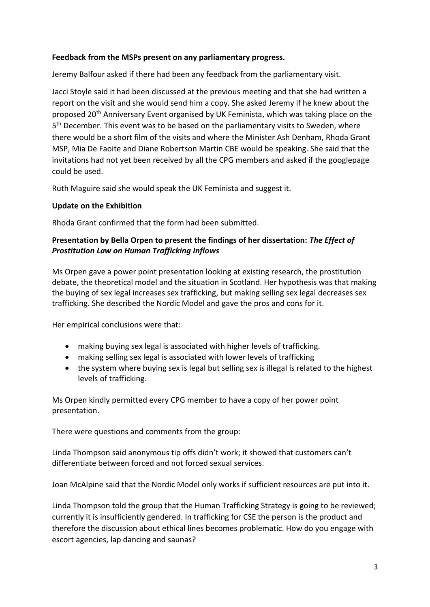#### **Feedback from the MSPs present on any parliamentary progress.**

Jeremy Balfour asked if there had been any feedback from the parliamentary visit.

Jacci Stoyle said it had been discussed at the previous meeting and that she had written a report on the visit and she would send him a copy. She asked Jeremy if he knew about the proposed 20<sup>th</sup> Anniversary Event organised by UK Feminista, which was taking place on the 5<sup>th</sup> December. This event was to be based on the parliamentary visits to Sweden, where there would be a short film of the visits and where the Minister Ash Denham, Rhoda Grant MSP, Mia De Faoite and Diane Robertson Martin CBE would be speaking. She said that the invitations had not yet been received by all the CPG members and asked if the googlepage could be used.

Ruth Maguire said she would speak the UK Feminista and suggest it.

#### **Update on the Exhibition**

Rhoda Grant confirmed that the form had been submitted.

#### **Presentation by Bella Orpen to present the findings of her dissertation:** *The Effect of Prostitution Law on Human Trafficking Inflows*

Ms Orpen gave a power point presentation looking at existing research, the prostitution debate, the theoretical model and the situation in Scotland. Her hypothesis was that making the buying of sex legal increases sex trafficking, but making selling sex legal decreases sex trafficking. She described the Nordic Model and gave the pros and cons for it.

Her empirical conclusions were that:

- making buying sex legal is associated with higher levels of trafficking.
- making selling sex legal is associated with lower levels of trafficking
- the system where buying sex is legal but selling sex is illegal is related to the highest levels of trafficking.

Ms Orpen kindly permitted every CPG member to have a copy of her power point presentation.

There were questions and comments from the group:

Linda Thompson said anonymous tip offs didn't work; it showed that customers can't differentiate between forced and not forced sexual services.

Joan McAlpine said that the Nordic Model only works if sufficient resources are put into it.

Linda Thompson told the group that the Human Trafficking Strategy is going to be reviewed; currently it is insufficiently gendered. In trafficking for CSE the person is the product and therefore the discussion about ethical lines becomes problematic. How do you engage with escort agencies, lap dancing and saunas?